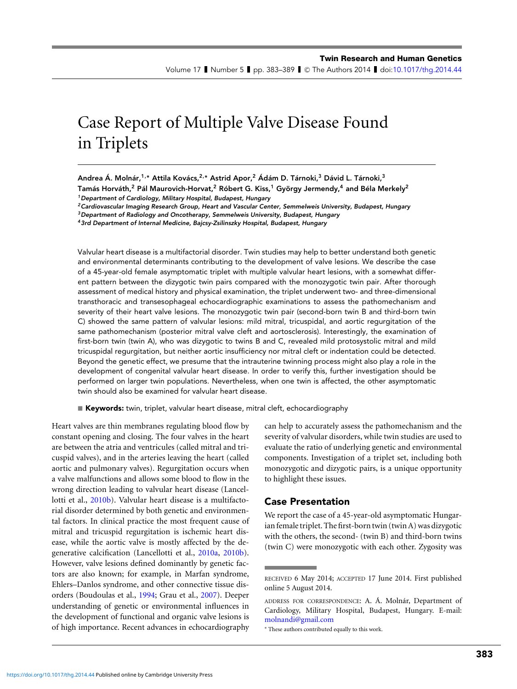Volume 17 I Number 5 I pp. 383–389 I © The Authors 2014 I doi[:10.1017/thg.2014.44](http://dx.doi.org/10.1017/thg.2014.44)

# Case Report of Multiple Valve Disease Found in Triplets

Andrea Á. Molnár,<sup>1,</sup>\* Attila Kovács,<sup>2,</sup>\* Astrid Apor,<sup>2</sup> Ádám D. Tárnoki,<sup>3</sup> Dávid L. Tárnoki,<sup>3</sup> Tamás Horváth, <sup>2</sup> Pál Maurovich-Horvat, <sup>2</sup> Róbert G. Kiss, <sup>1</sup> György Jermendy, <sup>4</sup> and Béla Merkely <sup>2</sup>

<sup>1</sup> Department of Cardiology, Military Hospital, Budapest, Hungary

 $^{2}$ Cardiovascular Imaging Research Group, Heart and Vascular Center, Semmelweis University, Budapest, Hungary

<sup>3</sup>Department of Radiology and Oncotherapy, Semmelweis University, Budapest, Hungary

<sup>4</sup> 3rd Department of Internal Medicine, Bajcsy-Zsilinszky Hospital, Budapest, Hungary

Valvular heart disease is a multifactorial disorder. Twin studies may help to better understand both genetic and environmental determinants contributing to the development of valve lesions. We describe the case of a 45-year-old female asymptomatic triplet with multiple valvular heart lesions, with a somewhat different pattern between the dizygotic twin pairs compared with the monozygotic twin pair. After thorough assessment of medical history and physical examination, the triplet underwent two- and three-dimensional transthoracic and transesophageal echocardiographic examinations to assess the pathomechanism and severity of their heart valve lesions. The monozygotic twin pair (second-born twin B and third-born twin C) showed the same pattern of valvular lesions: mild mitral, tricuspidal, and aortic regurgitation of the same pathomechanism (posterior mitral valve cleft and aortosclerosis). Interestingly, the examination of first-born twin (twin A), who was dizygotic to twins B and C, revealed mild protosystolic mitral and mild tricuspidal regurgitation, but neither aortic insufficiency nor mitral cleft or indentation could be detected. Beyond the genetic effect, we presume that the intrauterine twinning process might also play a role in the development of congenital valvular heart disease. In order to verify this, further investigation should be performed on larger twin populations. Nevertheless, when one twin is affected, the other asymptomatic twin should also be examined for valvular heart disease.

**E Keywords:** twin, triplet, valvular heart disease, mitral cleft, echocardiography

Heart valves are thin membranes regulating blood flow by constant opening and closing. The four valves in the heart are between the atria and ventricules (called mitral and tricuspid valves), and in the arteries leaving the heart (called aortic and pulmonary valves). Regurgitation occurs when a valve malfunctions and allows some blood to flow in the wrong direction leading to valvular heart disease (Lancel-lotti et al., [2010b\)](#page-5-0). Valvular heart disease is a multifactorial disorder determined by both genetic and environmental factors. In clinical practice the most frequent cause of mitral and tricuspid regurgitation is ischemic heart disease, while the aortic valve is mostly affected by the degenerative calcification (Lancellotti et al., [2010a,](#page-5-0) [2010b\)](#page-5-0). However, valve lesions defined dominantly by genetic factors are also known; for example, in Marfan syndrome, Ehlers–Danlos syndrome, and other connective tissue disorders (Boudoulas et al., [1994;](#page-5-0) Grau et al., [2007\)](#page-5-0). Deeper understanding of genetic or environmental influences in the development of functional and organic valve lesions is of high importance. Recent advances in echocardiography

can help to accurately assess the pathomechanism and the severity of valvular disorders, while twin studies are used to evaluate the ratio of underlying genetic and environmental components. Investigation of a triplet set, including both monozygotic and dizygotic pairs, is a unique opportunity to highlight these issues.

# Case Presentation

We report the case of a 45-year-old asymptomatic Hungarian female triplet. The first-born twin (twin A) was dizygotic with the others, the second- (twin B) and third-born twins (twin C) were monozygotic with each other. Zygosity was

RECEIVED 6 May 2014; ACCEPTED 17 June 2014. First published online 5 August 2014.

ADDRESS FOR CORRESPONDENCE: A. Á. Molnár, Department of Cardiology, Military Hospital, Budapest, Hungary. E-mail: [molnandi@gmail.com](mailto:molnandi@gmail.com)

<sup>∗</sup> These authors contributed equally to this work.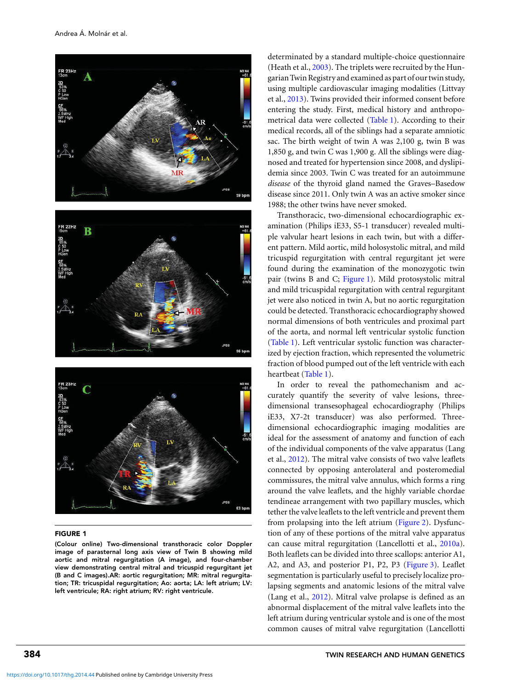

## FIGURE 1

(Colour online) Two-dimensional transthoracic color Doppler image of parasternal long axis view of Twin B showing mild aortic and mitral regurgitation (A image), and four-chamber view demonstrating central mitral and tricuspid regurgitant jet (B and C images).AR: aortic regurgitation; MR: mitral regurgitation; TR: tricuspidal regurgitation; Ao: aorta; LA: left atrium; LV: left ventricule; RA: right atrium; RV: right ventricule.

determinated by a standard multiple-choice questionnaire (Heath et al., [2003\)](#page-5-0). The triplets were recruited by the Hungarian Twin Registry and examined as part of our twin study, using multiple cardiovascular imaging modalities (Littvay et al., [2013\)](#page-6-0). Twins provided their informed consent before entering the study. First, medical history and anthropometrical data were collected [\(Table 1\)](#page-2-0). According to their medical records, all of the siblings had a separate amniotic sac. The birth weight of twin A was 2,100 g, twin B was 1,850 g, and twin C was 1,900 g. All the siblings were diagnosed and treated for hypertension since 2008, and dyslipidemia since 2003. Twin C was treated for an autoimmune *disease* of the thyroid gland named the Graves–Basedow disease since 2011. Only twin A was an active smoker since 1988; the other twins have never smoked.

Transthoracic, two-dimensional echocardiographic examination (Philips iE33, S5-1 transducer) revealed multiple valvular heart lesions in each twin, but with a different pattern. Mild aortic, mild holosystolic mitral, and mild tricuspid regurgitation with central regurgitant jet were found during the examination of the monozygotic twin pair (twins B and C; Figure 1). Mild protosystolic mitral and mild tricuspidal regurgitation with central regurgitant jet were also noticed in twin A, but no aortic regurgitation could be detected. Transthoracic echocardiography showed normal dimensions of both ventricules and proximal part of the aorta, and normal left ventricular systolic function [\(Table 1\)](#page-2-0). Left ventricular systolic function was characterized by ejection fraction, which represented the volumetric fraction of blood pumped out of the left ventricle with each heartbeat [\(Table 1\)](#page-2-0).

In order to reveal the pathomechanism and accurately quantify the severity of valve lesions, threedimensional transesophageal echocardiography (Philips iE33, X7-2t transducer) was also performed. Threedimensional echocardiographic imaging modalities are ideal for the assessment of anatomy and function of each of the individual components of the valve apparatus (Lang et al., [2012\)](#page-5-0). The mitral valve consists of two valve leaflets connected by opposing anterolateral and posteromedial commissures, the mitral valve annulus, which forms a ring around the valve leaflets, and the highly variable chordae tendineae arrangement with two papillary muscles, which tether the valve leaflets to the left ventricle and prevent them from prolapsing into the left atrium [\(Figure 2\)](#page-2-0). Dysfunction of any of these portions of the mitral valve apparatus can cause mitral regurgitation (Lancellotti et al., [2010a\)](#page-5-0). Both leaflets can be divided into three scallops: anterior A1, A2, and A3, and posterior P1, P2, P3 [\(Figure 3\)](#page-3-0). Leaflet segmentation is particularly useful to precisely localize prolapsing segments and anatomic lesions of the mitral valve (Lang et al., [2012\)](#page-5-0). Mitral valve prolapse is defined as an abnormal displacement of the mitral valve leaflets into the left atrium during ventricular systole and is one of the most common causes of mitral valve regurgitation (Lancellotti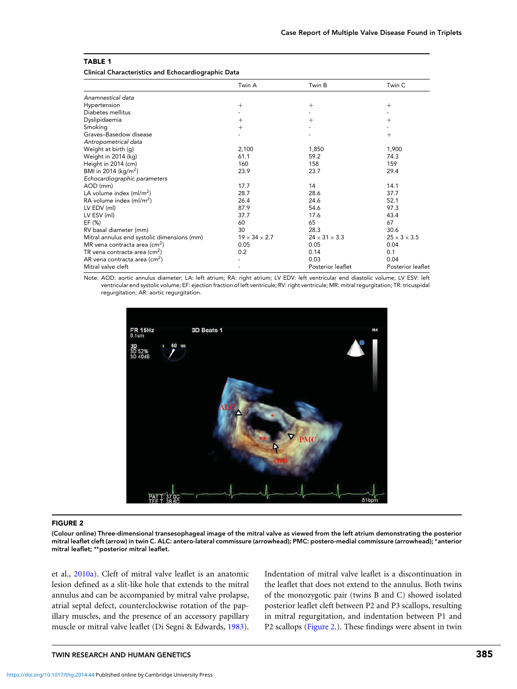## <span id="page-2-0"></span>TABLE 1

## Clinical Characteristics and Echocardiographic Data

|                                             | Twin A                    | Twin B                    | Twin C                   |
|---------------------------------------------|---------------------------|---------------------------|--------------------------|
| Anamnestical data                           |                           |                           |                          |
| Hypertension                                | $^{+}$                    | $^{+}$                    | $^{+}$                   |
| Diabetes mellitus                           |                           |                           |                          |
| Dyslipidaemia                               | $^{+}$                    | $^{+}$                    | $^{+}$                   |
| Smoking                                     | $^{+}$                    |                           |                          |
| Graves-Basedow disease                      |                           |                           | $^{+}$                   |
| Antropometrical data                        |                           |                           |                          |
| Weight at birth (g)                         | 2,100                     | 1,850                     | 1,900                    |
| Weight in 2014 (kg)                         | 61.1                      | 59.2                      | 74.3                     |
| Height in 2014 (cm)                         | 160                       | 158                       | 159                      |
| BMI in 2014 (kg/m <sup>2</sup> )            | 23.9                      | 23.7                      | 29.4                     |
| Echocardiographic parameters                |                           |                           |                          |
| AOD (mm)                                    | 17.7                      | 14                        | 14.1                     |
| LA volume index $(mI/m2)$                   | 28.7                      | 28.6                      | 37.7                     |
| RA volume index $(mI/m2)$                   | 26.4                      | 24.6                      | 52.1                     |
| LV EDV (ml)                                 | 87.9                      | 54.6                      | 97.3                     |
| LV ESV (ml)                                 | 37.7                      | 17.6                      | 43.4                     |
| EF (%)                                      | 60                        | 65                        | 67                       |
| RV basal diameter (mm)                      | 30                        | 28.3                      | 30.6                     |
| Mitral annulus end systolic dimensions (mm) | $19 \times 34 \times 2.7$ | $24 \times 31 \times 3.3$ | $25 \times 3 \times 3.5$ |
| MR vena contracta area (cm <sup>2</sup> )   | 0.05                      | 0.05                      | 0.04                     |
| TR vena contracta area (cm <sup>2</sup> )   | 0.2                       | 0.14                      | 0.1                      |
| AR vena contracta area (cm <sup>2</sup> )   |                           | 0.03                      | 0.04                     |
| Mitral valve cleft                          |                           | Posterior leaflet         | Posterior leaflet        |

Note: AOD: aortic annulus diameter; LA: left atrium; RA: right atrium; LV EDV: left ventricular end diastolic volume; LV ESV: left ventricular end systolic volume; EF: ejection fraction of left ventricule; RV: right ventricule; MR: mitral regurgitation; TR: tricuspidal regurgitation; AR: aortic regurgitation.



#### FIGURE 2

(Colour online) Three-dimensional transesophageal image of the mitral valve as viewed from the left atrium demonstrating the posterior mitral leaflet cleft (arrow) in twin C. ALC: antero-lateral commissure (arrowhead); PMC: postero-medial commissure (arrowhead); **<sup>∗</sup>**anterior mitral leaflet; **∗∗**posterior mitral leaflet.

et al., [2010a\)](#page-5-0). Cleft of mitral valve leaflet is an anatomic lesion defined as a slit-like hole that extends to the mitral annulus and can be accompanied by mitral valve prolapse, atrial septal defect, counterclockwise rotation of the papillary muscles, and the presence of an accessory papillary muscle or mitral valve leaflet (Di Segni & Edwards, [1983\)](#page-5-0). Indentation of mitral valve leaflet is a discontinuation in the leaflet that does not extend to the annulus. Both twins of the monozygotic pair (twins B and C) showed isolated posterior leaflet cleft between P2 and P3 scallops, resulting in mitral regurgitation, and indentation between P1 and P2 scallops (Figure 2.). These findings were absent in twin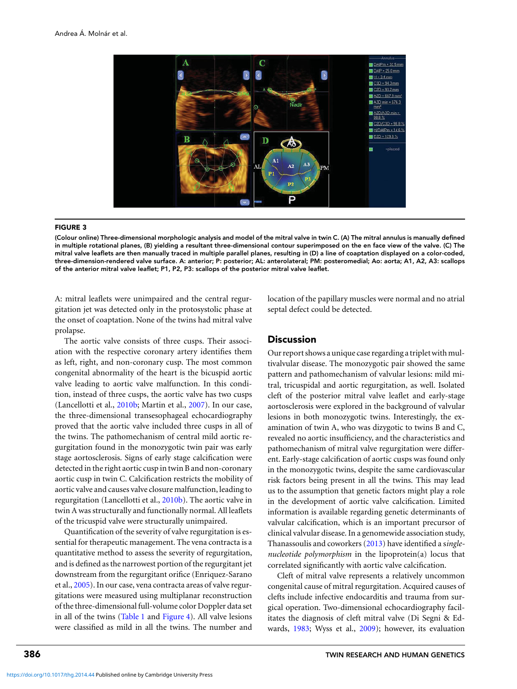<span id="page-3-0"></span>

#### FIGURE 3

(Colour online) Three-dimensional morphologic analysis and model of the mitral valve in twin C. (A) The mitral annulus is manually defined in multiple rotational planes, (B) yielding a resultant three-dimensional contour superimposed on the en face view of the valve. (C) The mitral valve leaflets are then manually traced in multiple parallel planes, resulting in (D) a line of coaptation displayed on a color-coded, three-dimension-rendered valve surface. A: anterior; P: posterior; AL: anterolateral; PM: posteromedial; Ao: aorta; A1, A2, A3: scallops of the anterior mitral valve leaflet; P1, P2, P3: scallops of the posterior mitral valve leaflet.

A: mitral leaflets were unimpaired and the central regurgitation jet was detected only in the protosystolic phase at the onset of coaptation. None of the twins had mitral valve prolapse.

The aortic valve consists of three cusps. Their association with the respective coronary artery identifies them as left, right, and non-coronary cusp. The most common congenital abnormality of the heart is the bicuspid aortic valve leading to aortic valve malfunction. In this condition, instead of three cusps, the aortic valve has two cusps (Lancellotti et al., [2010b;](#page-5-0) Martin et al., [2007\)](#page-6-0). In our case, the three-dimensional transesophageal echocardiography proved that the aortic valve included three cusps in all of the twins. The pathomechanism of central mild aortic regurgitation found in the monozygotic twin pair was early stage aortosclerosis. Signs of early stage calcification were detected in the right aortic cusp in twin B and non-coronary aortic cusp in twin C. Calcification restricts the mobility of aortic valve and causes valve closure malfunction, leading to regurgitation (Lancellotti et al., [2010b\)](#page-5-0). The aortic valve in twin A was structurally and functionally normal. All leaflets of the tricuspid valve were structurally unimpaired.

Quantification of the severity of valve regurgitation is essential for therapeutic management. The vena contracta is a quantitative method to assess the severity of regurgitation, and is defined as the narrowest portion of the regurgitant jet downstream from the regurgitant orifice (Enriquez-Sarano et al., [2005\)](#page-5-0). In our case, vena contracta areas of valve regurgitations were measured using multiplanar reconstruction of the three-dimensional full-volume color Doppler data set in all of the twins [\(Table 1](#page-2-0) and [Figure 4\)](#page-4-0). All valve lesions were classified as mild in all the twins. The number and location of the papillary muscles were normal and no atrial septal defect could be detected.

## **Discussion**

Our report shows a unique case regarding a triplet with multivalvular disease. The monozygotic pair showed the same pattern and pathomechanism of valvular lesions: mild mitral, tricuspidal and aortic regurgitation, as well. Isolated cleft of the posterior mitral valve leaflet and early-stage aortosclerosis were explored in the background of valvular lesions in both monozygotic twins. Interestingly, the examination of twin A, who was dizygotic to twins B and C, revealed no aortic insufficiency, and the characteristics and pathomechanism of mitral valve regurgitation were different. Early-stage calcification of aortic cusps was found only in the monozygotic twins, despite the same cardiovascular risk factors being present in all the twins. This may lead us to the assumption that genetic factors might play a role in the development of aortic valve calcification. Limited information is available regarding genetic determinants of valvular calcification, which is an important precursor of clinical valvular disease. In a genomewide association study, Thanassoulis and coworkers [\(2013\)](#page-6-0) have identified a s*inglenucleotide polymorphism* in the lipoprotein(a) locus that correlated significantly with aortic valve calcification.

Cleft of mitral valve represents a relatively uncommon congenital cause of mitral regurgitation. Acquired causes of clefts include infective endocarditis and trauma from surgical operation. Two-dimensional echocardiography facilitates the diagnosis of cleft mitral valve (Di Segni & Edwards, [1983;](#page-5-0) Wyss et al., [2009\)](#page-6-0); however, its evaluation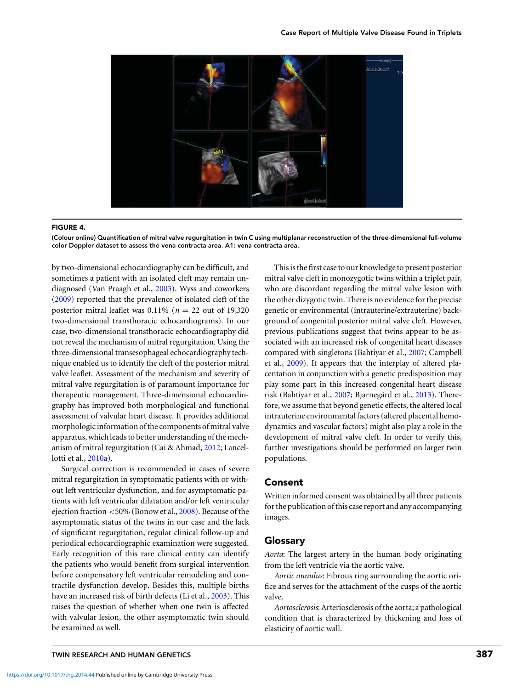<span id="page-4-0"></span>

#### FIGURE 4.

(Colour online) Quantification of mitral valve regurgitation in twin C using multiplanar reconstruction of the three-dimensional full-volume color Doppler dataset to assess the vena contracta area. A1: vena contracta area.

by two-dimensional echocardiography can be difficult, and sometimes a patient with an isolated cleft may remain undiagnosed (Van Praagh et al., [2003\)](#page-6-0). Wyss and coworkers [\(2009\)](#page-6-0) reported that the prevalence of isolated cleft of the posterior mitral leaflet was  $0.11\%$  ( $n = 22$  out of 19,320) two-dimensional transthoracic echocardiograms). In our case, two-dimensional transthoracic echocardiography did not reveal the mechanism of mitral regurgitation. Using the three-dimensional transesophageal echocardiography technique enabled us to identify the cleft of the posterior mitral valve leaflet. Assessment of the mechanism and severity of mitral valve regurgitation is of paramount importance for therapeutic management. Three-dimensional echocardiography has improved both morphological and functional assessment of valvular heart disease. It provides additional morphologic information of the components of mitral valve apparatus, which leads to better understanding of the mechanism of mitral regurgitation (Cai & Ahmad, [2012;](#page-5-0) Lancellotti et al., [2010a\)](#page-5-0).

Surgical correction is recommended in cases of severe mitral regurgitation in symptomatic patients with or without left ventricular dysfunction, and for asymptomatic patients with left ventricular dilatation and/or left ventricular ejection fraction *<*50% (Bonow et al., [2008\)](#page-5-0). Because of the asymptomatic status of the twins in our case and the lack of significant regurgitation, regular clinical follow-up and periodical echocardiographic examination were suggested. Early recognition of this rare clinical entity can identify the patients who would benefit from surgical intervention before compensatory left ventricular remodeling and contractile dysfunction develop. Besides this, multiple births have an increased risk of birth defects (Li et al., [2003\)](#page-6-0). This raises the question of whether when one twin is affected with valvular lesion, the other asymptomatic twin should be examined as well.

This is the first case to our knowledge to present posterior mitral valve cleft in monozygotic twins within a triplet pair, who are discordant regarding the mitral valve lesion with the other dizygotic twin. There is no evidence for the precise genetic or environmental (intrauterine/extrauterine) background of congenital posterior mitral valve cleft. However, previous publications suggest that twins appear to be associated with an increased risk of congenital heart diseases compared with singletons (Bahtiyar et al., [2007;](#page-5-0) Campbell et al., [2009\)](#page-5-0). It appears that the interplay of altered placentation in conjunction with a genetic predisposition may play some part in this increased congenital heart disease risk (Bahtiyar et al., [2007;](#page-5-0) Bjarnegård et al., [2013\)](#page-5-0). Therefore, we assume that beyond genetic effects, the altered local intrauterine environmental factors (altered placental hemodynamics and vascular factors) might also play a role in the development of mitral valve cleft. In order to verify this, further investigations should be performed on larger twin populations.

## Consent

Written informed consent was obtained by all three patients for the publication of this case report and any accompanying images.

# Glossary

*Aorta*: The largest artery in the human body originating from the left ventricle via the aortic valve.

*Aortic annulus*: Fibrous ring surrounding the aortic orifice and serves for the attachment of the cusps of the aortic valve.

*Aortosclerosis*: Arteriosclerosis of the aorta; a pathological condition that is characterized by thickening and loss of elasticity of aortic wall.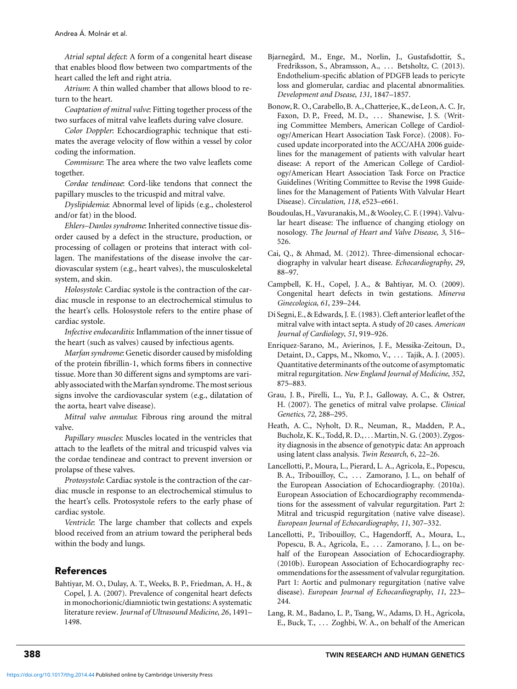<span id="page-5-0"></span>*Atrial septal defect*: A form of a congenital heart disease that enables blood flow between two compartments of the heart called the left and right atria.

*Atrium*: A thin walled chamber that allows blood to return to the heart.

*Coaptation of mitral valve*: Fitting together process of the two surfaces of mitral valve leaflets during valve closure.

*Color Doppler*: Echocardiographic technique that estimates the average velocity of flow within a vessel by color coding the information.

*Commisure*: The area where the two valve leaflets come together.

*Cordae tendineae*: Cord-like tendons that connect the papillary muscles to the tricuspid and mitral valve.

*Dyslipidemia*: Abnormal level of lipids (e.g., cholesterol and/or fat) in the blood.

*Ehlers–Danlos syndrome*: Inherited connective tissue disorder caused by a defect in the structure, production, or processing of collagen or proteins that interact with collagen. The manifestations of the disease involve the cardiovascular system (e.g., heart valves), the musculoskeletal system, and skin.

*Holosystole*: Cardiac systole is the contraction of the cardiac muscle in response to an electrochemical stimulus to the heart's cells. Holosystole refers to the entire phase of cardiac systole.

*Infective endocarditis*: Inflammation of the inner tissue of the heart (such as valves) caused by infectious agents.

*Marfan syndrome*: Genetic disorder caused by misfolding of the protein fibrillin-1, which forms fibers in connective tissue. More than 30 different signs and symptoms are variably associated with the Marfan syndrome. The most serious signs involve the cardiovascular system (e.g., dilatation of the aorta, heart valve disease).

*Mitral valve annulus*: Fibrous ring around the mitral valve.

*Papillary muscles*: Muscles located in the ventricles that attach to the leaflets of the mitral and tricuspid valves via the cordae tendineae and contract to prevent inversion or prolapse of these valves.

*Protosystole*: Cardiac systole is the contraction of the cardiac muscle in response to an electrochemical stimulus to the heart's cells. Protosystole refers to the early phase of cardiac systole.

*Ventricle*: The large chamber that collects and expels blood received from an atrium toward the peripheral beds within the body and lungs.

# References

Bahtiyar, M. O., Dulay, A. T., Weeks, B. P., Friedman, A. H., & Copel, J. A. (2007). Prevalence of congenital heart defects in monochorionic/diamniotic twin gestations: A systematic literature review. *Journal of Ultrasound Medicine*, *26*, 1491– 1498.

- Bjarnegård, M., Enge, M., Norlin, J., Gustafsdottir, S., Fredriksson, S., Abramsson, A., . . . Betsholtz, C. (2013). Endothelium-specific ablation of PDGFB leads to pericyte loss and glomerular, cardiac and placental abnormalities. *Development and Dsease*, *131*, 1847–1857.
- Bonow, R. O., Carabello, B. A., Chatterjee, K., de Leon, A. C. Jr, Faxon, D. P., Freed, M. D., ... Shanewise, J. S. (Writing Committee Members, American College of Cardiology/American Heart Association Task Force). (2008). Focused update incorporated into the ACC/AHA 2006 guidelines for the management of patients with valvular heart disease: A report of the American College of Cardiology/American Heart Association Task Force on Practice Guidelines (Writing Committee to Revise the 1998 Guidelines for the Management of Patients With Valvular Heart Disease). *Circulation*, *118*, e523–e661.

Boudoulas, H., Vavuranakis, M., & Wooley, C. F. (1994). Valvular heart disease: The influence of changing etiology on nosology. *The Journal of Heart and Valve Disease*, *3*, 516– 526.

Cai, Q., & Ahmad, M. (2012). Three-dimensional echocardiography in valvular heart disease. *Echocardiography*, *29*, 88–97.

Campbell, K. H., Copel, J. A., & Bahtiyar, M. O. (2009). Congenital heart defects in twin gestations. *Minerva Ginecologica*, *61*, 239–244.

Di Segni, E., & Edwards, J. E. (1983). Cleft anterior leaflet of the mitral valve with intact septa. A study of 20 cases. *American Journal of Cardiology*, *51*, 919–926.

Enriquez-Sarano, M., Avierinos, J. F., Messika-Zeitoun, D., Detaint, D., Capps, M., Nkomo, V., . . . Tajik, A. J. (2005). Quantitative determinants of the outcome of asymptomatic mitral regurgitation. *New England Journal of Medicine*, *352*, 875–883.

Grau, J. B., Pirelli, L., Yu, P. J., Galloway, A. C., & Ostrer, H. (2007). The genetics of mitral valve prolapse. *Clinical Genetics*, *72*, 288–295.

- Heath, A. C., Nyholt, D. R., Neuman, R., Madden, P. A., Bucholz, K. K., Todd, R. D., . . . Martin, N. G. (2003). Zygosity diagnosis in the absence of genotypic data: An approach using latent class analysis. *Twin Research*, *6*, 22–26.
- Lancellotti, P., Moura, L., Pierard, L. A., Agricola, E., Popescu, B. A., Tribouilloy, C., ... Zamorano, J. L., on behalf of the European Association of Echocardiography. (2010a). European Association of Echocardiography recommendations for the assessment of valvular regurgitation. Part 2: Mitral and tricuspid regurgitation (native valve disease). *European Journal of Echocardiography*, *11*, 307–332.
- Lancellotti, P., Tribouilloy, C., Hagendorff, A., Moura, L., Popescu, B. A., Agricola, E., ... Zamorano, J. L., on behalf of the European Association of Echocardiography. (2010b). European Association of Echocardiography recommendations for the assessment of valvular regurgitation. Part 1: Aortic and pulmonary regurgitation (native valve disease). *European Journal of Echocardiography*, *11*, 223– 244.
- Lang, R. M., Badano, L. P., Tsang, W., Adams, D. H., Agricola, E., Buck, T., . . . Zoghbi, W. A., on behalf of the American